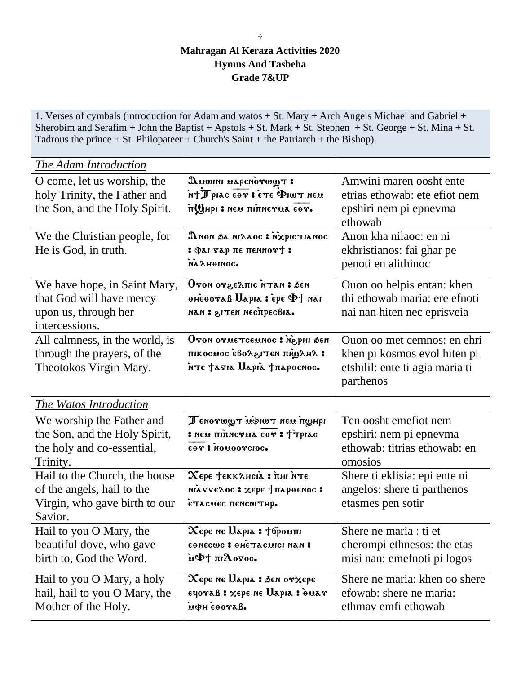## † **Mahragan Al Keraza Activities 2020 Hymns And Tasbeha Grade 7&UP**

1. Verses of cymbals (introduction for Adam and watos + St. Mary + Arch Angels Michael and Gabriel + Sherobim and Serafim + John the Baptist + Apstols + St. Mark + St. Stephen + St. George + St. Mina + St. Tadrous the prince  $+$  St. Philopateer  $+$  Church's Saint  $+$  the Patriarch  $+$  the Bishop).

| The Adam Introduction                                                                                   |                                                                                                                  |                                                                                                             |
|---------------------------------------------------------------------------------------------------------|------------------------------------------------------------------------------------------------------------------|-------------------------------------------------------------------------------------------------------------|
| O come, let us worship, the<br>holy Trinity, the Father and<br>the Son, and the Holy Spirit.            | Quonini uapenorwyt:<br>Not Twice is the Dail Thi<br>п@нрі : нем піпнетил єот.                                    | Amwini maren oosht ente<br>etrias ethowab: ete efiot nem<br>epshiri nem pi epnevma<br>ethowab               |
| We the Christian people, for<br>He is God, in truth.                                                    | Дион ба нілаос: хурістіанос<br>: фаі чар пе пеннот+:<br>омиенлай.                                                | Anon kha nilaoc: en ni<br>ekhristianos: fai ghar pe<br>penoti en alithinoc                                  |
| We have hope, in Saint Mary,<br>that God will have mercy<br>upon us, through her<br>intercessions.      | Oron orgeanic NTAN: 36M<br>ohèooraß Uapia : èpe PJ nai<br>лан : згтен неспресвіа.                                | Ouon oo helpis entan: khen<br>thi ethowab maria: ere efnoti<br>nai nan hiten nec eprisveia                  |
| All calmness, in the world, is<br>through the prayers, of the<br>Theotokos Virgin Mary.                 | Oron orue TCEMNOC : NepHI DEN<br>я Анасмос евольть післями<br>nte tasia Uapià trapoenoc.                         | Ouon oo met cemnos: en ehri<br>khen pi kosmos evol hiten pi<br>etshilil: ente ti agia maria ti<br>parthenos |
| The Watos Introduction                                                                                  |                                                                                                                  |                                                                                                             |
| We worship the Father and<br>the Son, and the Holy Spirit,<br>the holy and co-essential,<br>Trinity.    | Ленотоут мфиот нем пунри<br>: NEM TITTHETMA COT : TTPIAC<br>cor : nouoorcioc.                                    | Ten oosht emefiot nem<br>epshiri: nem pi epnevma<br>ethowab: titrias ethowab: en<br>omosios                 |
| Hail to the Church, the house<br>of the angels, hail to the<br>Virgin, who gave birth to our<br>Savior. | Хере †еккансіа : пні ите<br>піаттелос: хере тпароенос:<br><b>етасмес пенсштир.</b>                               | Shere ti eklisia: epi ente ni<br>angelos: shere ti parthenos<br>etasmes pen sotir                           |
| Hail to you O Mary, the<br>beautiful dove, who gave<br>birth to, God the Word.                          | Хере не Царіа : †бромпі<br>семесше : енетасшен нам :<br>ieΦ† πιλογος.                                            | Shere ne maria : ti et<br>cherompi ethnesos: the etas<br>misi nan: emefnoti pi logos                        |
| Hail to you O Mary, a holy<br>hail, hail to you O Mary, the<br>Mother of the Holy.                      | $\boldsymbol{\chi}$ ере не Царіа : бен от $\boldsymbol{\chi}$ ере<br>eyovaß : хере не Царіа : биат<br>мфневотав. | Shere ne maria: khen oo shere<br>efowab: shere ne maria:<br>ethmay emfi ethowab                             |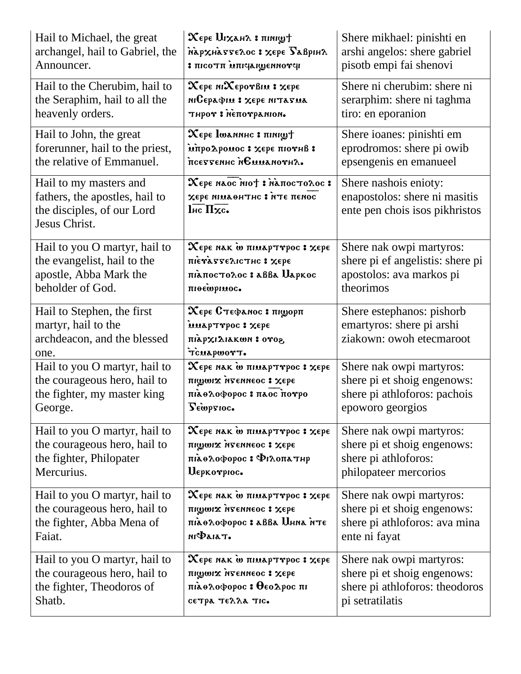| Hail to Michael, the great                                                                              | $\mathbf X$ ере $\mathbf U$ і $\mathbf x$ ан $\lambda$ : пімі $\mathbf y$ т                                     | Shere mikhael: pinishti en                                                               |
|---------------------------------------------------------------------------------------------------------|-----------------------------------------------------------------------------------------------------------------|------------------------------------------------------------------------------------------|
| archangel, hail to Gabriel, the                                                                         | мархнаттелос: хере Баврінл                                                                                      | arshi angelos: shere gabriel                                                             |
| Announcer.                                                                                              | <b>Pronnaguapinu in Toon :</b>                                                                                  | pisotb empi fai shenovi                                                                  |
| Hail to the Cherubim, hail to                                                                           | Хере міХеротвім: хере                                                                                           | Shere ni cherubim: shere ni                                                              |
| the Seraphim, hail to all the                                                                           | міСерафія : хере мітатиа                                                                                        | serarphim: shere ni taghma                                                               |
| heavenly orders.                                                                                        | тнрот: менотрамном.                                                                                             | tiro: en eporanion                                                                       |
| Hail to John, the great                                                                                 | $\mathbf X$ ере Ішалинс : пініф $\dagger$                                                                       | Shere ioanes: pinishti em                                                                |
| forerunner, hail to the priest,                                                                         | мпродромос: хере пютнв:                                                                                         | eprodromos: shere pi owib                                                                |
| the relative of Emmanuel.                                                                               | псеттеннс немманотна.                                                                                           | epsengenis en emanueel                                                                   |
| Hail to my masters and<br>fathers, the apostles, hail to<br>the disciples, of our Lord<br>Jesus Christ. | Хере наос нот : напостолос:<br>хере мімаентис : мте пемос<br>$\overline{\text{Inc}} \, \overline{\text{Hxc}}$ . | Shere nashois enioty:<br>enapostolos: shere ni masitis<br>ente pen chois isos pikhristos |
| Hail to you O martyr, hail to                                                                           | $\overline{\mathbf{x}}$ ере нак ̀о пімарттрос : хере                                                            | Shere nak owpi martyros:                                                                 |
| the evangelist, hail to the                                                                             | пієтаттєлістис: хере                                                                                            | shere pi ef angelistis: shere pi                                                         |
| apostle, Abba Mark the                                                                                  | піапостолос: авва Царкос                                                                                        | apostolos: ava markos pi                                                                 |
| beholder of God.                                                                                        | піоефрімос.                                                                                                     | theorimos                                                                                |
| Hail to Stephen, the first<br>martyr, hail to the<br>archdeacon, and the blessed<br>one.                | Хере Стефанос: пішорп<br>inaprrpoc: Xepe<br>πιλρχιΔιακωη: ονοε<br>TCUAPWOTT.                                    | Shere estephanos: pishorb<br>emartyros: shere pi arshi<br>ziakown: owoh etecmaroot       |
| Hail to you O martyr, hail to                                                                           | Хере нак ш пимарттрос: хере                                                                                     | Shere nak owpi martyros:                                                                 |
| the courageous hero, hail to                                                                            | піфоіх изеннеос: Хере                                                                                           | shere pi et shoig engenows:                                                              |
| the fighter, my master king                                                                             | піае лофорос: паос потро                                                                                        | shere pi athloforos: pachois                                                             |
| George.                                                                                                 | Lewpsioc.                                                                                                       | epoworo georgios                                                                         |
| Hail to you O martyr, hail to                                                                           | Хере нак ш пимарттрос: хере                                                                                     | Shere nak owpi martyros:                                                                 |
| the courageous hero, hail to                                                                            | піфоіх изениеос: Хеђе                                                                                           | shere pi et shoig engenows:                                                              |
| the fighter, Philopater                                                                                 | піаелофорос: Філопатир                                                                                          | shere pi athloforos:                                                                     |
| Mercurius.                                                                                              | Uepkovpioc.                                                                                                     | philopateer mercorios                                                                    |
| Hail to you O martyr, hail to                                                                           | Хере нак ш пимарттрос: хере                                                                                     | Shere nak owpi martyros:                                                                 |
| the courageous hero, hail to                                                                            | піфоіх изеннеос: Хере                                                                                           | shere pi et shoig engenows:                                                              |
| the fighter, Abba Mena of                                                                               | піаолофорос: авва Инна ите                                                                                      | shere pi athloforos: ava mina                                                            |
| Faiat.                                                                                                  | піФаіат.                                                                                                        | ente ni fayat                                                                            |
| Hail to you O martyr, hail to                                                                           | Хере нак ш пимарттрос: хере                                                                                     | Shere nak owpi martyros:                                                                 |
| the courageous hero, hail to                                                                            | піфміх игениеос: Хере                                                                                           | shere pi et shoig engenows:                                                              |
| the fighter, Theodoros of                                                                               | підолофорос: Өєодрос пі                                                                                         | shere pi athloforos: theodoros                                                           |
| Shatb.                                                                                                  | сетра телла тис.                                                                                                | pi setratilatis                                                                          |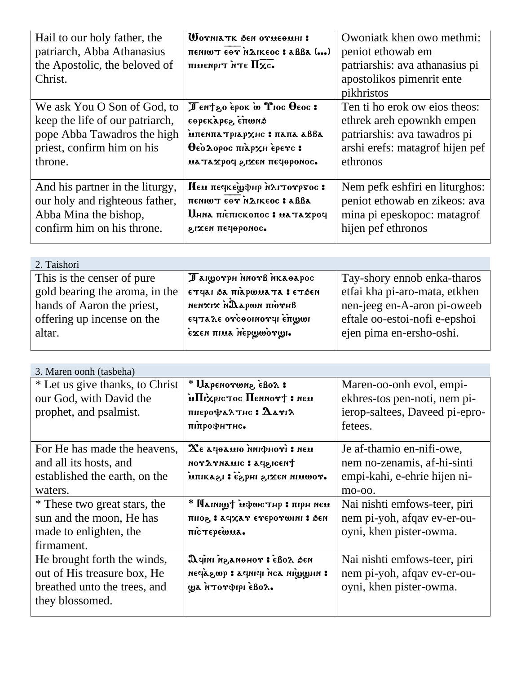| Hail to our holy father, the<br>patriarch, Abba Athanasius<br>the Apostolic, the beloved of<br>Christ.                                 | WOTNIATK DEN OTHEOMHI :<br>πεηιωτ εθγήλικεος: aββa ()<br>піменріт нте Пхс.                                                         | Owoniatk khen owo methmi:<br>peniot ethowab em<br>patriarshis: ava athanasius pi<br>apostolikos pimenrit ente<br>pikhristos                              |
|----------------------------------------------------------------------------------------------------------------------------------------|------------------------------------------------------------------------------------------------------------------------------------|----------------------------------------------------------------------------------------------------------------------------------------------------------|
| We ask You O Son of God, to<br>keep the life of our patriarch,<br>pope Abba Tawadros the high<br>priest, confirm him on his<br>throne. | Tentzo epok w T10c Oeoc:<br>εθρεκλρεε επωνιδ<br>мпеннатріархис: папа авва<br>θεόλορος πιλρχη έρενς:<br>латахроч гіхен печоронос.   | Ten ti ho erok ow eios theos:<br>ethrek areh epownkh empen<br>patriarshis: ava tawadros pi<br>arshi erefs: matagrof hijen pef<br>ethronos                |
| And his partner in the liturgy,<br>our holy and righteous father,<br>Abba Mina the bishop,<br>confirm him on his throne.               | <b>Πευ πε κεψφηρ ήλιτο γρος:</b><br>πενιωτ εθν ήλικεος: εδβε<br><b>Инна піепіскопос: матахроч</b><br>элхем печеромос.              | Nem pefk eshfiri en liturghos:<br>peniot ethowab en zikeos: ava<br>mina pi epeskopoc: matagrof<br>hijen pef ethronos                                     |
| 2. Taishori                                                                                                                            |                                                                                                                                    |                                                                                                                                                          |
| This is the censer of pure.<br>gold bearing the aroma, in the<br>hands of Aaron the priest,<br>offering up incense on the<br>altar.    | Пануотрн пнотв пкаварос<br>ετγαι δα πιαρωματα : ετδεη<br>anvoin nwqadan xıxnan<br>ε ταλε ον το οπον τρίψωι<br>εχεη πιαλ περωωονωι. | Tay-shory ennob enka-tharos<br>etfai kha pi-aro-mata, etkhen<br>nen-jeeg en-A-aron pi-oweeb<br>eftale oo-estoi-nofi e-epshoi<br>ejen pima en-ersho-oshi. |
| 3. Maren oonh (tasbeha)                                                                                                                |                                                                                                                                    |                                                                                                                                                          |
| * Let us give thanks, to Christ<br>our God, with David the<br>prophet, and psalmist.                                                   | * Uapenovwnz èBoa :<br>in the mond II show that<br>пиерофа $\lambda$ тис : $\Delta$ аті $\Delta$<br>піпрофитис.                    | Maren-oo-onh evol, empi-<br>ekhres-tos pen-noti, nem pi-<br>ierop-saltees, Daveed pi-epro-<br>fetees.                                                    |
| For He has made the heavens,<br>and all its hosts, and<br>established the earth, on the<br>waters.                                     | $\mathbf{\Omega}$ е дераміо міфноті : нем<br>thangps: auxnvaron<br>. ΥΟWUN ΠΑΣΙ, Η ΠΑΣΙ 1, ΑΣΑΙΠΗ                                  | Je af-thamio en-nifi-owe,<br>nem no-zenamis, af-hi-sinti<br>empi-kahi, e-ehrie hijen ni-<br>mo-oo.                                                       |
| * These two great stars, the<br>sun and the moon, He has<br>made to enlighten, the                                                     | иэн напт : днтэшфи †улпіля *<br>пног, в асудат етеротонні в бен<br>пістерешил.                                                     | Nai nishti emfows-teer, piri<br>nem pi-yoh, afqav ev-er-ou-<br>oyni, khen pister-owma.                                                                   |

nas zoda: rohonagn inipa : negagin son ipinps : qwsapan Nai nishti emfows-teer, piri nem pi-yoh, afqav ev-er-ouoyni, khen pister-owma.

ga ntoropipi eBor.

firmament.

they blossomed.

He brought forth the winds, out of His treasure box, He breathed unto the trees, and